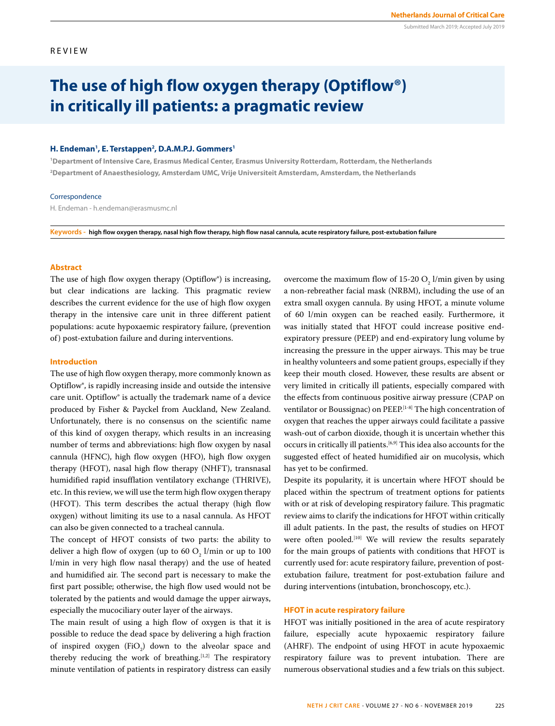Submitted March 2019; Accepted July 2019

# **The use of high flow oxygen therapy (Optiflow®) in critically ill patients: a pragmatic review**

# H. Endeman<sup>1</sup>, E. Terstappen<sup>2</sup>, D.A.M.P.J. Gommers<sup>1</sup>

**1 Department of Intensive Care, Erasmus Medical Center, Erasmus University Rotterdam, Rotterdam, the Netherlands 2 Department of Anaesthesiology, Amsterdam UMC, Vrije Universiteit Amsterdam, Amsterdam, the Netherlands**

### Correspondence

H. Endeman - h.endeman@erasmusmc.nl

**Keywords - high flow oxygen therapy, nasal high flow therapy, high flow nasal cannula, acute respiratory failure, post-extubation failure**

# **Abstract**

The use of high flow oxygen therapy (Optiflow®) is increasing, but clear indications are lacking. This pragmatic review describes the current evidence for the use of high flow oxygen therapy in the intensive care unit in three different patient populations: acute hypoxaemic respiratory failure, (prevention of) post-extubation failure and during interventions.

### **Introduction**

The use of high flow oxygen therapy, more commonly known as Optiflow®, is rapidly increasing inside and outside the intensive care unit. Optiflow® is actually the trademark name of a device produced by Fisher & Payckel from Auckland, New Zealand. Unfortunately, there is no consensus on the scientific name of this kind of oxygen therapy, which results in an increasing number of terms and abbreviations: high flow oxygen by nasal cannula (HFNC), high flow oxygen (HFO), high flow oxygen therapy (HFOT), nasal high flow therapy (NHFT), transnasal humidified rapid insufflation ventilatory exchange (THRIVE), etc. In this review, we will use the term high flow oxygen therapy (HFOT). This term describes the actual therapy (high flow oxygen) without limiting its use to a nasal cannula. As HFOT can also be given connected to a tracheal cannula.

The concept of HFOT consists of two parts: the ability to deliver a high flow of oxygen (up to 60  $O_2$  l/min or up to 100 l/min in very high flow nasal therapy) and the use of heated and humidified air. The second part is necessary to make the first part possible; otherwise, the high flow used would not be tolerated by the patients and would damage the upper airways, especially the mucociliary outer layer of the airways.

The main result of using a high flow of oxygen is that it is possible to reduce the dead space by delivering a high fraction of inspired oxygen  $(FiO_2)$  down to the alveolar space and thereby reducing the work of breathing.<sup>[1,2]</sup> The respiratory minute ventilation of patients in respiratory distress can easily

overcome the maximum flow of  $15-20$  O<sub>2</sub> l/min given by using a non-rebreather facial mask (NRBM), including the use of an extra small oxygen cannula. By using HFOT, a minute volume of 60 l/min oxygen can be reached easily. Furthermore, it was initially stated that HFOT could increase positive endexpiratory pressure (PEEP) and end-expiratory lung volume by increasing the pressure in the upper airways. This may be true in healthy volunteers and some patient groups, especially if they keep their mouth closed. However, these results are absent or very limited in critically ill patients, especially compared with the effects from continuous positive airway pressure (CPAP on ventilator or Boussignac) on PEEP.[1-8] The high concentration of oxygen that reaches the upper airways could facilitate a passive wash-out of carbon dioxide, though it is uncertain whether this occurs in critically ill patients.[6,9] This idea also accounts for the suggested effect of heated humidified air on mucolysis, which has yet to be confirmed.

Despite its popularity, it is uncertain where HFOT should be placed within the spectrum of treatment options for patients with or at risk of developing respiratory failure. This pragmatic review aims to clarify the indications for HFOT within critically ill adult patients. In the past, the results of studies on HFOT were often pooled.<sup>[10]</sup> We will review the results separately for the main groups of patients with conditions that HFOT is currently used for: acute respiratory failure, prevention of postextubation failure, treatment for post-extubation failure and during interventions (intubation, bronchoscopy, etc.).

# **HFOT in acute respiratory failure**

HFOT was initially positioned in the area of acute respiratory failure, especially acute hypoxaemic respiratory failure (AHRF). The endpoint of using HFOT in acute hypoxaemic respiratory failure was to prevent intubation. There are numerous observational studies and a few trials on this subject.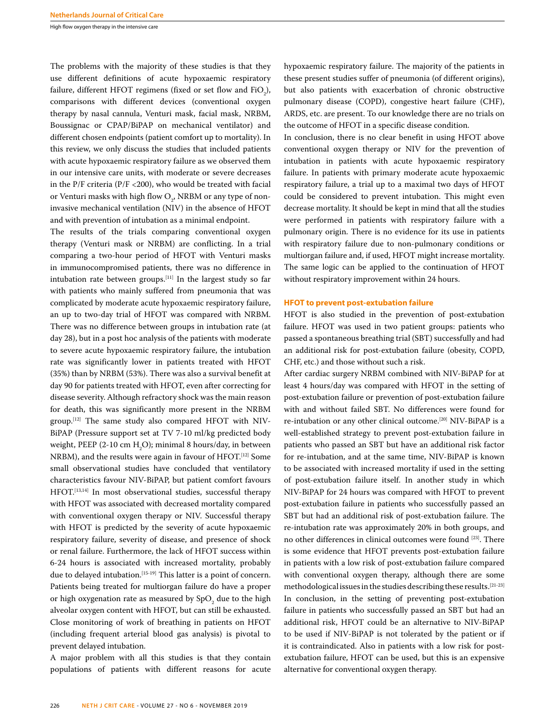High flow oxygen therapy in the intensive care

The problems with the majority of these studies is that they use different definitions of acute hypoxaemic respiratory failure, different HFOT regimens (fixed or set flow and  $\text{FiO}_2$ ), comparisons with different devices (conventional oxygen therapy by nasal cannula, Venturi mask, facial mask, NRBM, Boussignac or CPAP/BiPAP on mechanical ventilator) and different chosen endpoints (patient comfort up to mortality). In this review, we only discuss the studies that included patients with acute hypoxaemic respiratory failure as we observed them in our intensive care units, with moderate or severe decreases in the  $P/F$  criteria ( $P/F$  <200), who would be treated with facial or Venturi masks with high flow  $O_{2'}$ , NRBM or any type of noninvasive mechanical ventilation (NIV) in the absence of HFOT and with prevention of intubation as a minimal endpoint.

The results of the trials comparing conventional oxygen therapy (Venturi mask or NRBM) are conflicting. In a trial comparing a two-hour period of HFOT with Venturi masks in immunocompromised patients, there was no difference in intubation rate between groups.[11] In the largest study so far with patients who mainly suffered from pneumonia that was complicated by moderate acute hypoxaemic respiratory failure, an up to two-day trial of HFOT was compared with NRBM. There was no difference between groups in intubation rate (at day 28), but in a post hoc analysis of the patients with moderate to severe acute hypoxaemic respiratory failure, the intubation rate was significantly lower in patients treated with HFOT (35%) than by NRBM (53%). There was also a survival benefit at day 90 for patients treated with HFOT, even after correcting for disease severity. Although refractory shock was the main reason for death, this was significantly more present in the NRBM group.[12] The same study also compared HFOT with NIV-BiPAP (Pressure support set at TV 7-10 ml/kg predicted body weight,  $PEEP$  (2-10 cm  $H_2O$ ); minimal 8 hours/day, in between NRBM), and the results were again in favour of HFOT.[12] Some small observational studies have concluded that ventilatory characteristics favour NIV-BiPAP, but patient comfort favours HFOT.[13,14] In most observational studies, successful therapy with HFOT was associated with decreased mortality compared with conventional oxygen therapy or NIV. Successful therapy with HFOT is predicted by the severity of acute hypoxaemic respiratory failure, severity of disease, and presence of shock or renal failure. Furthermore, the lack of HFOT success within 6-24 hours is associated with increased mortality, probably due to delayed intubation.<sup>[15-19]</sup> This latter is a point of concern. Patients being treated for multiorgan failure do have a proper or high oxygenation rate as measured by  $\mathrm{SpO}_2$  due to the high alveolar oxygen content with HFOT, but can still be exhausted. Close monitoring of work of breathing in patients on HFOT (including frequent arterial blood gas analysis) is pivotal to prevent delayed intubation.

A major problem with all this studies is that they contain populations of patients with different reasons for acute

hypoxaemic respiratory failure. The majority of the patients in these present studies suffer of pneumonia (of different origins), but also patients with exacerbation of chronic obstructive pulmonary disease (COPD), congestive heart failure (CHF), ARDS, etc. are present. To our knowledge there are no trials on the outcome of HFOT in a specific disease condition.

In conclusion, there is no clear benefit in using HFOT above conventional oxygen therapy or NIV for the prevention of intubation in patients with acute hypoxaemic respiratory failure. In patients with primary moderate acute hypoxaemic respiratory failure, a trial up to a maximal two days of HFOT could be considered to prevent intubation. This might even decrease mortality. It should be kept in mind that all the studies were performed in patients with respiratory failure with a pulmonary origin. There is no evidence for its use in patients with respiratory failure due to non-pulmonary conditions or multiorgan failure and, if used, HFOT might increase mortality. The same logic can be applied to the continuation of HFOT without respiratory improvement within 24 hours.

### **HFOT to prevent post-extubation failure**

HFOT is also studied in the prevention of post-extubation failure. HFOT was used in two patient groups: patients who passed a spontaneous breathing trial (SBT) successfully and had an additional risk for post-extubation failure (obesity, COPD, CHF, etc.) and those without such a risk.

After cardiac surgery NRBM combined with NIV-BiPAP for at least 4 hours/day was compared with HFOT in the setting of post-extubation failure or prevention of post-extubation failure with and without failed SBT. No differences were found for re-intubation or any other clinical outcome.[20] NIV-BiPAP is a well-established strategy to prevent post-extubation failure in patients who passed an SBT but have an additional risk factor for re-intubation, and at the same time, NIV-BiPAP is known to be associated with increased mortality if used in the setting of post-extubation failure itself. In another study in which NIV-BiPAP for 24 hours was compared with HFOT to prevent post-extubation failure in patients who successfully passed an SBT but had an additional risk of post-extubation failure. The re-intubation rate was approximately 20% in both groups, and no other differences in clinical outcomes were found [23]. There is some evidence that HFOT prevents post-extubation failure in patients with a low risk of post-extubation failure compared with conventional oxygen therapy, although there are some methodological issues in the studies describing these results.[21-23] In conclusion, in the setting of preventing post-extubation failure in patients who successfully passed an SBT but had an additional risk, HFOT could be an alternative to NIV-BiPAP to be used if NIV-BiPAP is not tolerated by the patient or if it is contraindicated. Also in patients with a low risk for postextubation failure, HFOT can be used, but this is an expensive alternative for conventional oxygen therapy.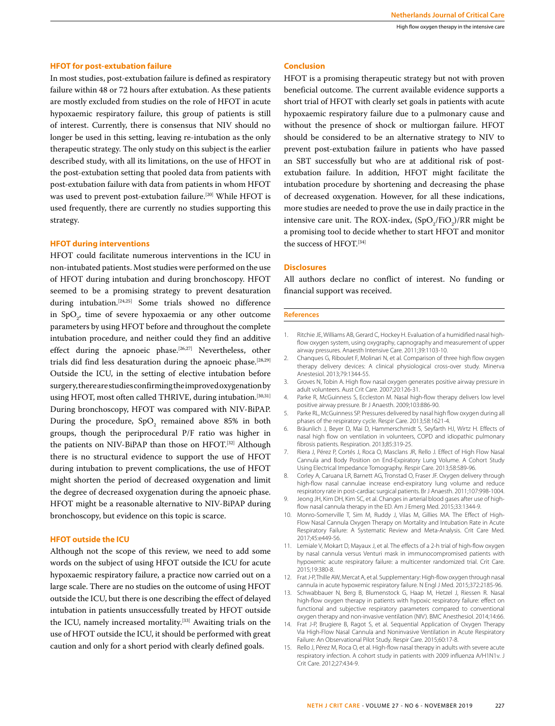# **HFOT for post-extubation failure**

In most studies, post-extubation failure is defined as respiratory failure within 48 or 72 hours after extubation. As these patients are mostly excluded from studies on the role of HFOT in acute hypoxaemic respiratory failure, this group of patients is still of interest. Currently, there is consensus that NIV should no longer be used in this setting, leaving re-intubation as the only therapeutic strategy. The only study on this subject is the earlier described study, with all its limitations, on the use of HFOT in the post-extubation setting that pooled data from patients with post-extubation failure with data from patients in whom HFOT was used to prevent post-extubation failure.<sup>[20]</sup> While HFOT is used frequently, there are currently no studies supporting this strategy.

## **HFOT during interventions**

HFOT could facilitate numerous interventions in the ICU in non-intubated patients. Most studies were performed on the use of HFOT during intubation and during bronchoscopy. HFOT seemed to be a promising strategy to prevent desaturation during intubation.[24,25] Some trials showed no difference in  $SpO<sub>2</sub>$ , time of severe hypoxaemia or any other outcome parameters by using HFOT before and throughout the complete intubation procedure, and neither could they find an additive effect during the apnoeic phase.<sup>[26,27]</sup> Nevertheless, other trials did find less desaturation during the apnoeic phase.<sup>[28,29]</sup> Outside the ICU, in the setting of elective intubation before surgery, there are studies confirming the improved oxygenation by using HFOT, most often called THRIVE, during intubation.<sup>[30,31]</sup> During bronchoscopy, HFOT was compared with NIV-BiPAP. During the procedure,  $SpO<sub>2</sub>$  remained above 85% in both groups, though the periprocedural P/F ratio was higher in the patients on NIV-BiPAP than those on HFOT.<sup>[32]</sup> Although there is no structural evidence to support the use of HFOT during intubation to prevent complications, the use of HFOT might shorten the period of decreased oxygenation and limit the degree of decreased oxygenation during the apnoeic phase. HFOT might be a reasonable alternative to NIV-BiPAP during bronchoscopy, but evidence on this topic is scarce.

# **HFOT outside the ICU**

Although not the scope of this review, we need to add some words on the subject of using HFOT outside the ICU for acute hypoxaemic respiratory failure, a practice now carried out on a large scale. There are no studies on the outcome of using HFOT outside the ICU, but there is one describing the effect of delayed intubation in patients unsuccessfully treated by HFOT outside the ICU, namely increased mortality.[33] Awaiting trials on the use of HFOT outside the ICU, it should be performed with great caution and only for a short period with clearly defined goals.

## **Conclusion**

HFOT is a promising therapeutic strategy but not with proven beneficial outcome. The current available evidence supports a short trial of HFOT with clearly set goals in patients with acute hypoxaemic respiratory failure due to a pulmonary cause and without the presence of shock or multiorgan failure. HFOT should be considered to be an alternative strategy to NIV to prevent post-extubation failure in patients who have passed an SBT successfully but who are at additional risk of postextubation failure. In addition, HFOT might facilitate the intubation procedure by shortening and decreasing the phase of decreased oxygenation. However, for all these indications, more studies are needed to prove the use in daily practice in the intensive care unit. The ROX-index,  $(SpO_2/FiO_2)/RR$  might be a promising tool to decide whether to start HFOT and monitor the success of HFOT.<sup>[34]</sup>

# **Disclosures**

All authors declare no conflict of interest. No funding or financial support was received.

### **References**

- 1. Ritchie JE, Williams AB, Gerard C, Hockey H. Evaluation of a humidified nasal highflow oxygen system, using oxygraphy, capnography and measurement of upper airway pressures. Anaesth Intensive Care. 2011;39:1103-10.
- 2. Chanques G, Riboulet F, Molinari N, et al. Comparison of three high flow oxygen therapy delivery devices: A clinical physiological cross-over study. Minerva Anestesiol. 2013;79:1344-55.
- 3. Groves N, Tobin A. High flow nasal oxygen generates positive airway pressure in adult volunteers. Aust Crit Care. 2007;20:126-31.
- 4. Parke R, McGuinness S, Eccleston M. Nasal high-flow therapy delivers low level positive airway pressure. Br J Anaesth. 2009;103:886-90.
- 5. Parke RL, McGuinness SP. Pressures delivered by nasal high flow oxygen during all phases of the respiratory cycle. Respir Care. 2013;58:1621-4.
- 6. Bräunlich J, Beyer D, Mai D, Hammerschmidt S, Seyfarth HJ, Wirtz H. Effects of nasal high flow on ventilation in volunteers, COPD and idiopathic pulmonary fibrosis patients. Respiration. 2013;85:319-25.
- 7. Riera J, Pérez P, Cortés J, Roca O, Masclans JR, Rello J. Effect of High Flow Nasal Cannula and Body Position on End-Expiratory Lung Volume. A Cohort Study Using Electrical Impedance Tomography. Respir Care. 2013;58:589-96.
- 8. Corley A, Caruana LR, Barnett AG, Tronstad O, Fraser JF. Oxygen delivery through high-flow nasal cannulae increase end-expiratory lung volume and reduce respiratory rate in post-cardiac surgical patients. Br J Anaesth. 2011;107:998-1004.
- 9. Jeong JH, Kim DH, Kim SC, et al. Changes in arterial blood gases after use of highflow nasal cannula therapy in the ED. Am J Emerg Med. 2015;33:1344-9.
- 10. Monro-Somerville T, Sim M, Ruddy J, Vilas M, Gillies MA. The Effect of High-Flow Nasal Cannula Oxygen Therapy on Mortality and Intubation Rate in Acute Respiratory Failure: A Systematic Review and Meta-Analysis. Crit Care Med. 2017;45:e449-56.
- 11. Lemiale V, Mokart D, Mayaux J, et al. The effects of a 2-h trial of high-flow oxygen by nasal cannula versus Venturi mask in immunocompromised patients with hypoxemic acute respiratory failure: a multicenter randomized trial. Crit Care. 2015;19:380-8.
- 12. Frat J-P, Thille AW, Mercat A, et al. Supplementary: High-flow oxygen through nasal cannula in acute hypoxemic respiratory failure. N Engl J Med. 2015;372:2185-96.
- 13. Schwabbauer N, Berg B, Blumenstock G, Haap M, Hetzel J, Riessen R. Nasal high-flow oxygen therapy in patients with hypoxic respiratory failure: effect on functional and subjective respiratory parameters compared to conventional oxygen therapy and non-invasive ventilation (NIV). BMC Anesthesiol. 2014;14:66.
- 14. Frat J-P, Brugiere B, Ragot S, et al. Sequential Application of Oxygen Therapy Via High-Flow Nasal Cannula and Noninvasive Ventilation in Acute Respiratory Failure: An Observational Pilot Study. Respir Care. 2015;60:17-8.
- 15. Rello J, Pérez M, Roca O, et al. High-flow nasal therapy in adults with severe acute respiratory infection. A cohort study in patients with 2009 influenza A/H1N1v. J Crit Care. 2012;27:434-9.